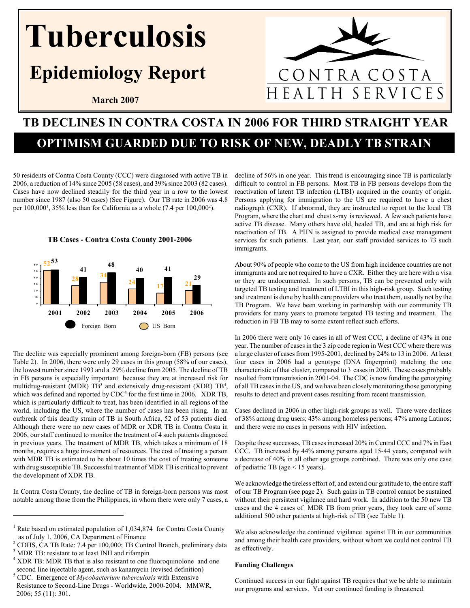## Tuberculosis

## Epidemiology Report

March 2007

# CONTRA COSTA<br>EALTH SERVICES HEALTH

## TB DECLINES IN CONTRA COSTA IN 2006 FOR THIRD STRAIGHT YEAR

### OPTIMISM GUARDED DUE TO RISK OF NEW, DEADLY TB STRAIN

50 residents of Contra Costa County (CCC) were diagnosed with active TB in 2006, a reduction of 14% since 2005 (58 cases), and 39% since 2003 (82 cases). Cases have now declined steadily for the third year in a row to the lowest number since 1987 (also 50 cases) (See Figure). Our TB rate in 2006 was 4.8 per  $100,000^1$ ,  $35\%$  less than for California as a whole  $(7.4 \text{ per } 100,000^2)$ .





The decline was especially prominent among foreign-born (FB) persons (see Table 2). In 2006, there were only 29 cases in this group (58% of our cases), the lowest number since 1993 and a 29% decline from 2005. The decline of TB in FB persons is especially important because they are at increased risk for multidrug-resistant (MDR)  $TB^3$  and extensively drug-resistant (XDR)  $TB^4$ , which was defined and reported by  $CDC<sup>5</sup>$  for the first time in 2006. XDR TB, which is particularly difficult to treat, has been identified in all regions of the world, including the US, where the number of cases has been rising. In an outbreak of this deadly strain of TB in South Africa, 52 of 53 patients died. Although there were no new cases of MDR or XDR TB in Contra Costa in 2006, our staff continued to monitor the treatment of 4 such patients diagnosed in previous years. The treatment of MDR TB, which takes a minimum of 18 months, requires a huge investment of resources. The cost of treating a person with MDR TB is estimated to be about 10 times the cost of treating someone with drug susceptible TB. Successful treatment of MDR TB is critical to prevent the development of XDR TB.

In Contra Costa County, the decline of TB in foreign-born persons was most notable among those from the Philippines, in whom there were only 7 cases, a

decline of 56% in one year. This trend is encouraging since TB is particularly difficult to control in FB persons. Most TB in FB persons develops from the reactivation of latent TB infection (LTBI) acquired in the country of origin. Persons applying for immigration to the US are required to have a chest radiograph (CXR). If abnormal, they are instructed to report to the local TB Program, where the chart and chest x-ray is reviewed. A few such patients have active TB disease. Many others have old, healed TB, and are at high risk for reactivation of TB. A PHN is assigned to provide medical case management services for such patients. Last year, our staff provided services to 73 such immigrants.

About 90% of people who come to the US from high incidence countries are not immigrants and are not required to have a CXR. Either they are here with a visa or they are undocumented. In such persons, TB can be prevented only with targeted TB testing and treatment of LTBI in this high-risk group. Such testing and treatment is done by health care providers who treat them, usually not by the TB Program. We have been working in partnership with our community TB providers for many years to promote targeted TB testing and treatment. The reduction in FB TB may to some extent reflect such efforts.

In 2006 there were only 16 cases in all of West CCC, a decline of 43% in one year. The number of cases in the 3 zip code region in West CCC where there was a large cluster of cases from 1995-2001, declined by 24% to 13 in 2006. At least four cases in 2006 had a genotype (DNA fingerprint) matching the one characteristic of that cluster, compared to 3 cases in 2005. These cases probably resulted from transmission in 2001-04. The CDC is now funding the genotyping of all TB cases in the US, and we have been closely monitoring those genotyping results to detect and prevent cases resulting from recent transmission.

Cases declined in 2006 in other high-risk groups as well. There were declines of 38% among drug users; 43% among homeless persons; 47% among Latinos; and there were no cases in persons with HIV infection.

Despite these successes, TB cases increased 20% in Central CCC and 7% in East CCC. TB increased by 44% among persons aged 15-44 years, compared with a decrease of 40% in all other age groups combined. There was only one case of pediatric TB (age < 15 years).

We acknowledge the tireless effort of, and extend our gratitude to, the entire staff of our TB Program (see page 2). Such gains in TB control cannot be sustained without their persistent vigilance and hard work. In addition to the 50 new TB cases and the 4 cases of MDR TB from prior years, they took care of some additional 500 other patients at high-risk of TB (see Table 1).

We also acknowledge the continued vigilance against TB in our communities and among their health care providers, without whom we could not control TB as effectively.

#### Funding Challenges

Continued success in our fight against TB requires that we be able to maintain our programs and services. Yet our continued funding is threatened.

<sup>&</sup>lt;sup>1</sup> Rate based on estimated population of 1,034,874 for Contra Costa County as of July 1, 2006, CA Department of Finance

<sup>2</sup> CDHS, CA TB Rate: 7.4 per 100,000; TB Control Branch, preliminary data

<sup>&</sup>lt;sup>3</sup> MDR TB: resistant to at least INH and rifampin

<sup>&</sup>lt;sup>4</sup> XDR TB: MDR TB that is also resistant to one fluoroquinolone and one second line injectable agent, such as kanamycin (revised definition)

 $<sup>5</sup>$  CDC. Emergence of *Mycobacterium tuberculosis* with Extensive</sup> Resistance to Second-Line Drugs - Worldwide, 2000-2004. MMWR, 2006; 55 (11): 301.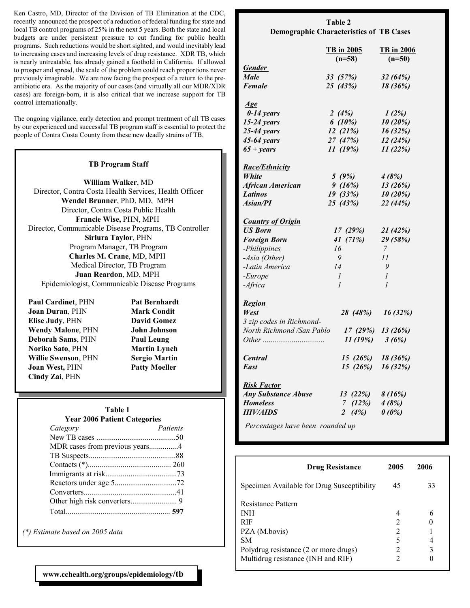Ken Castro, MD, Director of the Division of TB Elimination at the CDC, recently announced the prospect of a reduction of federal funding for state and local TB control programs of 25% in the next 5 years. Both the state and local budgets are under persistent pressure to cut funding for public health programs. Such reductions would be short sighted, and would inevitably lead to increasing cases and increasing levels of drug resistance. XDR TB, which is nearly untreatable, has already gained a foothold in California. If allowed to prosper and spread, the scale of the problem could reach proportions never previously imaginable. We are now facing the prospect of a return to the preantibiotic era. As the majority of our cases (and virtually all our MDR/XDR cases) are foreign-born, it is also critical that we increase support for TB control internationally.

The ongoing vigilance, early detection and prompt treatment of all TB cases by our experienced and successful TB program staff is essential to protect the people of Contra Costa County from these new deadly strains of TB.

#### TB Program Staff

William Walker, MD Director, Contra Costa Health Services, Health Officer Wendel Brunner, PhD, MD, MPH Director, Contra Costa Public Health Francie Wise, PHN, MPH Director, Communicable Disease Programs, TB Controller Sirlura Taylor, PHN Program Manager, TB Program Charles M. Crane, MD, MPH Medical Director, TB Program Juan Reardon, MD, MPH Epidemiologist, Communicable Disease Programs

Paul Cardinet, PHN Pat Bernhardt Joan Duran, PHN Mark Condit Elise Judy, PHN David Gomez Wendy Malone, PHN John Johnson Deborah Sams, PHN Paul Leung Noriko Sato, PHN Martin Lynch Willie Swenson, PHN Sergio Martin Joan West, PHN Patty Moeller Cindy Zai, PHN

#### Table 1

#### Year 2006 Patient Categories

| Category                       | Patients |
|--------------------------------|----------|
|                                |          |
| MDR cases from previous years4 |          |
|                                |          |
|                                |          |
|                                |          |
|                                |          |
|                                |          |
|                                |          |
|                                |          |
|                                |          |

(\*) Estimate based on 2005 data

| Table 2                                        |  |
|------------------------------------------------|--|
| <b>Demographic Characteristics of TB Cases</b> |  |
|                                                |  |

|                                       | <b>TB</b> in 2005<br>$(n=58)$ | <b>TB</b> in 2006<br>$(n=50)$ |
|---------------------------------------|-------------------------------|-------------------------------|
| <b>Gender</b>                         |                               |                               |
| <b>Male</b>                           | 33 (57%)                      | 32 (64%)                      |
| Female                                | 25 (43%)                      | 18 (36%)                      |
| Age                                   |                               |                               |
| $0-14$ years                          | 2 $(4%)$                      | 1(2%)                         |
| $15-24$ years                         | 6 $(10\%)$                    | 10 (20%)                      |
| $25-44$ years                         | 12(21%)                       | 16 (32%)                      |
| $45-64$ years                         | 27(47%)                       | 12(24%)                       |
| $65 + years$                          | 11(19%)                       | 11(22%)                       |
|                                       |                               |                               |
| <b>Race/Ethnicity</b>                 |                               |                               |
| <i>White</i>                          | 5(9%)                         | 4(8%)                         |
| <b>African American</b>               | 9(16%)                        | 13(26%)                       |
| <b>Latinos</b>                        | 19(33%)                       | 10 (20%)                      |
| Asian/PI                              | 25(43%)                       | 22 (44%)                      |
|                                       |                               |                               |
| <b>Country of Origin</b>              |                               |                               |
| <b>US Born</b>                        | 17(29%)                       | 21 (42%)                      |
| <b>Foreign Born</b>                   | 41 $(71%)$                    | 29 (58%)                      |
| -Philippines                          | 16                            | 7                             |
| -Asia (Other)                         | 9                             | 11                            |
| -Latin America                        | 14                            | 9                             |
| -Europe                               | $\mathcal{I}$                 | $\mathcal{I}$                 |
| -Africa                               | $\mathcal{I}$                 | $\mathcal{I}$                 |
| <b>Region</b>                         |                               |                               |
| West                                  | 28 (48%)                      | 16 (32%)                      |
| 3 zip codes in Richmond-              |                               |                               |
| North Richmond /San Pablo             | 17(29%)                       | 13(26%)                       |
|                                       | 11(19%)                       | 3(6%)                         |
|                                       |                               |                               |
| <b>Central</b>                        | 15(26%)                       | 18 (36%)                      |
| East                                  | 15(26%)                       | 16 (32%)                      |
|                                       |                               |                               |
| <b>Risk Factor</b>                    |                               |                               |
| <b>Any Substance Abuse</b>            | 13(22%)                       | 8(16%)                        |
| <b>Homeless</b>                       | 7 $(12%)$                     | 4(8%)                         |
| <i><b>HIV/AIDS</b></i>                | 2 $(4%)$                      | $0(0\%)$                      |
| $\mathbf{n}$ , the state $\mathbf{n}$ | $1 \quad 1$                   |                               |

Percentages have been rounded up

| <b>Drug Resistance</b>                     | 2005          | 2006 |
|--------------------------------------------|---------------|------|
| Specimen Available for Drug Susceptibility | 45            | 33   |
| <b>Resistance Pattern</b>                  |               |      |
| <b>INH</b>                                 | 4             | 6    |
| <b>RIF</b>                                 | 2             |      |
| PZA (M.bovis)                              | 2             |      |
| SМ                                         | 5             |      |
| Polydrug resistance (2 or more drugs)      | $\mathcal{D}$ | 3    |
| Multidrug resistance (INH and RIF)         |               |      |

www.cchealth.org/groups/epidemiology/tb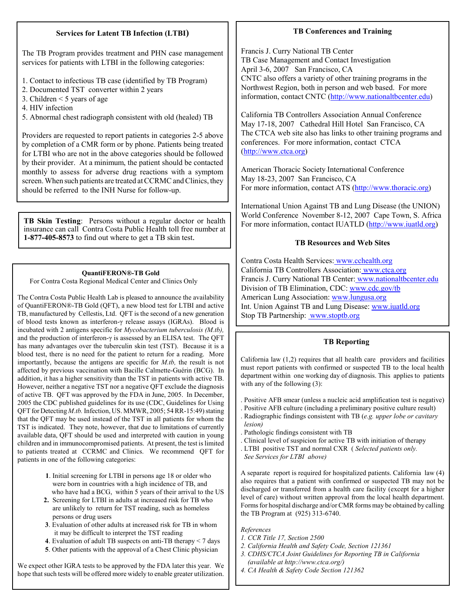#### Services for Latent TB Infection (LTBI)

The TB Program provides treatment and PHN case management services for patients with LTBI in the following categories:

- 1. Contact to infectious TB case (identified by TB Program)
- 2. Documented TST converter within 2 years
- 3. Children < 5 years of age
- 4. HIV infection
- 5. Abnormal chest radiograph consistent with old (healed) TB

Providers are requested to report patients in categories 2-5 above by completion of a CMR form or by phone. Patients being treated for LTBI who are not in the above categories should be followed by their provider. At a minimum, the patient should be contacted monthly to assess for adverse drug reactions with a symptom screen. When such patients are treated at CCRMC and Clinics, they should be referred to the INH Nurse for follow-up.

TB Skin Testing: Persons without a regular doctor or health insurance can call Contra Costa Public Health toll free number at 1-877-405-8573 to find out where to get a TB skin test.

#### QuantiFERON®-TB Gold

For Contra Costa Regional Medical Center and Clinics Only

The Contra Costa Public Health Lab is pleased to announce the availability of QuantiFERON®-TB Gold (QFT), a new blood test for LTBI and active TB, manufactured by Cellestis, Ltd. QFT is the second of a new generation of blood tests known as interferon-γ release assays (IGRAs). Blood is incubated with 2 antigens specific for Mycobacterium tuberculosis (M.tb), and the production of interferon-γ is assessed by an ELISA test. The QFT has many advantages over the tuberculin skin test (TST). Because it is a blood test, there is no need for the patient to return for a reading. More importantly, because the antigens are specific for M.tb, the result is not affected by previous vaccination with Bacille Calmette-Guérin (BCG). In addition, it has a higher sensitivity than the TST in patients with active TB. However, neither a negative TST nor a negative QFT exclude the diagnosis of active TB. QFT was approved by the FDA in June, 2005. In December, 2005 the CDC published guidelines for its use (CDC, Guidelines for Using QFT for Detecting M.tb. Infection, US. MMWR, 2005; 54 RR-15:49) stating that the QFT may be used instead of the TST in all patients for whom the TST is indicated. They note, however, that due to limitations of currently available data, QFT should be used and interpreted with caution in young children and in immunocompromised patients. At present, the test is limited to patients treated at CCRMC and Clinics. We recommend QFT for patients in one of the following categories:

- 1. Initial screening for LTBI in persons age 18 or older who were born in countries with a high incidence of TB, and who have had a BCG, within 5 years of their arrival to the US
- 2. Screening for LTBI in adults at increased risk for TB who are unlikely to return for TST reading, such as homeless persons or drug users
- 3. Evaluation of other adults at increased risk for TB in whom it may be difficult to interpret the TST reading
- 4. Evaluation of adult TB suspects on anti-TB therapy < 7 days
- 5. Other patients with the approval of a Chest Clinic physician

We expect other IGRA tests to be approved by the FDA later this year. We hope that such tests will be offered more widely to enable greater utilization.

#### TB Conferences and Training

Francis J. Curry National TB Center TB Case Management and Contact Investigation April 3-6, 2007 San Francisco, CA CNTC also offers a variety of other training programs in the Northwest Region, both in person and web based. For more information, contact CNTC (http://www.nationaltbcenter.edu)

California TB Controllers Association Annual Conference May 17-18, 2007 Cathedral Hill Hotel San Francisco, CA The CTCA web site also has links to other training programs and conferences. For more information, contact CTCA (http://www.ctca.org)

American Thoracic Society International Conference May 18-23, 2007 San Francisco, CA For more information, contact ATS (http://www.thoracic.org)

International Union Against TB and Lung Disease (the UNION) World Conference November 8-12, 2007 Cape Town, S. Africa For more information, contact IUATLD (http://www.iuatld.org)

#### TB Resources and Web Sites

Contra Costa Health Services: www.cchealth.org California TB Controllers Association: www.ctca.org Francis J. Curry National TB Center: www.nationaltbcenter.edu Division of TB Elimination, CDC: www.cdc.gov/tb American Lung Association: www.lungusa.org Int. Union Against TB and Lung Disease: www.iuatld.org Stop TB Partnership: www.stoptb.org

#### TB Reporting

California law  $(1,2)$  requires that all health care providers and facilities must report patients with confirmed or suspected TB to the local health department within one working day of diagnosis. This applies to patients with any of the following (3):

- . Positive AFB smear (unless a nucleic acid amplification test is negative)
- . Positive AFB culture (including a preliminary positive culture result) . Radiographic findings consistent with TB (e.g. upper lobe or cavitary lesion)
- . Pathologic findings consistent with TB
- . Clinical level of suspicion for active TB with initiation of therapy
- . LTBI positive TST and normal CXR ( Selected patients only.
- See Services for LTBI above)

A separate report is required for hospitalized patients. California law (4) also requires that a patient with confirmed or suspected TB may not be discharged or transferred from a health care facility (except for a higher level of care) without written approval from the local health department. Forms for hospital discharge and/or CMR forms may be obtained by calling the TB Program at (925) 313-6740.

References

- 1. CCR Title 17, Section 2500
- 2. California Health and Safety Code, Section 121361
- 3. CDHS/CTCA Joint Guidelines for Reporting TB in California (available at http://www.ctca.org/)
- 4. CA Health & Safety Code Section 121362